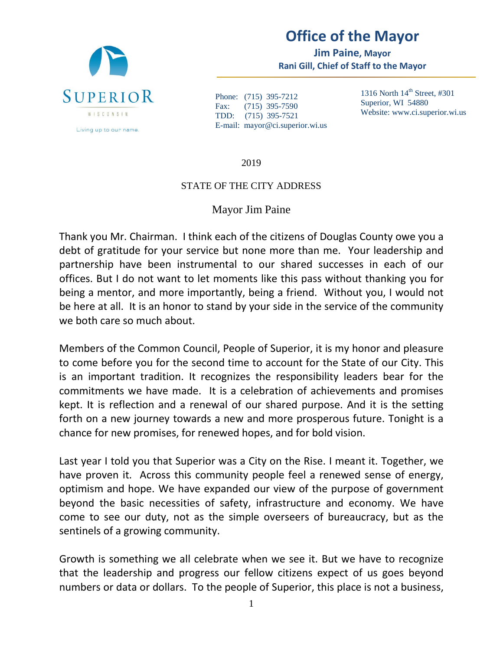

## **Office of the Mayor**

**Jim Paine, Mayor Rani Gill, Chief of Staff to the Mayor**

Phone: (715) 395-7212 Fax: (715) 395-7590 TDD: (715) 395-7521 E-mail: mayor@ci.superior.wi.us 1316 North  $14<sup>th</sup>$  Street, #301 Superior, WI 54880 Website: www.ci.superior.wi.us

2019

## STATE OF THE CITY ADDRESS

## Mayor Jim Paine

Thank you Mr. Chairman. I think each of the citizens of Douglas County owe you a debt of gratitude for your service but none more than me. Your leadership and partnership have been instrumental to our shared successes in each of our offices. But I do not want to let moments like this pass without thanking you for being a mentor, and more importantly, being a friend. Without you, I would not be here at all. It is an honor to stand by your side in the service of the community we both care so much about.

Members of the Common Council, People of Superior, it is my honor and pleasure to come before you for the second time to account for the State of our City. This is an important tradition. It recognizes the responsibility leaders bear for the commitments we have made. It is a celebration of achievements and promises kept. It is reflection and a renewal of our shared purpose. And it is the setting forth on a new journey towards a new and more prosperous future. Tonight is a chance for new promises, for renewed hopes, and for bold vision.

Last year I told you that Superior was a City on the Rise. I meant it. Together, we have proven it. Across this community people feel a renewed sense of energy, optimism and hope. We have expanded our view of the purpose of government beyond the basic necessities of safety, infrastructure and economy. We have come to see our duty, not as the simple overseers of bureaucracy, but as the sentinels of a growing community.

Growth is something we all celebrate when we see it. But we have to recognize that the leadership and progress our fellow citizens expect of us goes beyond numbers or data or dollars. To the people of Superior, this place is not a business,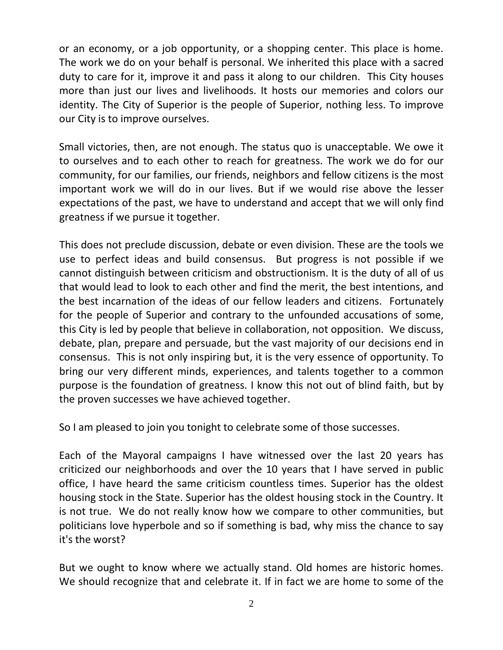or an economy, or a job opportunity, or a shopping center. This place is home. The work we do on your behalf is personal. We inherited this place with a sacred duty to care for it, improve it and pass it along to our children. This City houses more than just our lives and livelihoods. It hosts our memories and colors our identity. The City of Superior is the people of Superior, nothing less. To improve our City is to improve ourselves.

Small victories, then, are not enough. The status quo is unacceptable. We owe it to ourselves and to each other to reach for greatness. The work we do for our community, for our families, our friends, neighbors and fellow citizens is the most important work we will do in our lives. But if we would rise above the lesser expectations of the past, we have to understand and accept that we will only find greatness if we pursue it together.

This does not preclude discussion, debate or even division. These are the tools we use to perfect ideas and build consensus. But progress is not possible if we cannot distinguish between criticism and obstructionism. It is the duty of all of us that would lead to look to each other and find the merit, the best intentions, and the best incarnation of the ideas of our fellow leaders and citizens. Fortunately for the people of Superior and contrary to the unfounded accusations of some, this City is led by people that believe in collaboration, not opposition. We discuss, debate, plan, prepare and persuade, but the vast majority of our decisions end in consensus. This is not only inspiring but, it is the very essence of opportunity. To bring our very different minds, experiences, and talents together to a common purpose is the foundation of greatness. I know this not out of blind faith, but by the proven successes we have achieved together.

So I am pleased to join you tonight to celebrate some of those successes.

Each of the Mayoral campaigns I have witnessed over the last 20 years has criticized our neighborhoods and over the 10 years that I have served in public office, I have heard the same criticism countless times. Superior has the oldest housing stock in the State. Superior has the oldest housing stock in the Country. It is not true. We do not really know how we compare to other communities, but politicians love hyperbole and so if something is bad, why miss the chance to say it's the worst?

But we ought to know where we actually stand. Old homes are historic homes. We should recognize that and celebrate it. If in fact we are home to some of the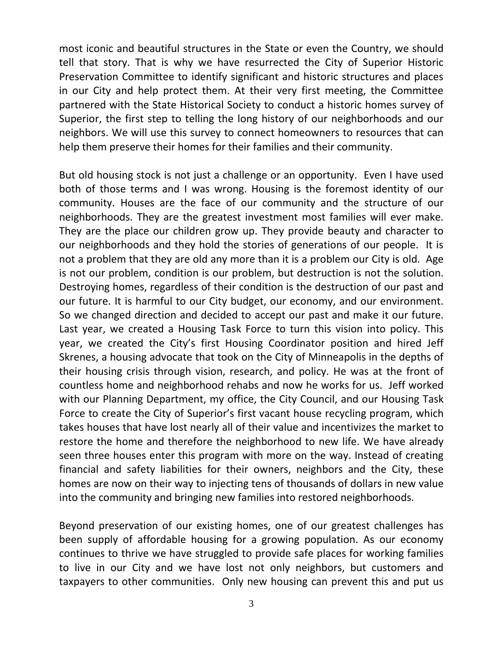most iconic and beautiful structures in the State or even the Country, we should tell that story. That is why we have resurrected the City of Superior Historic Preservation Committee to identify significant and historic structures and places in our City and help protect them. At their very first meeting, the Committee partnered with the State Historical Society to conduct a historic homes survey of Superior, the first step to telling the long history of our neighborhoods and our neighbors. We will use this survey to connect homeowners to resources that can help them preserve their homes for their families and their community.

But old housing stock is not just a challenge or an opportunity. Even I have used both of those terms and I was wrong. Housing is the foremost identity of our community. Houses are the face of our community and the structure of our neighborhoods. They are the greatest investment most families will ever make. They are the place our children grow up. They provide beauty and character to our neighborhoods and they hold the stories of generations of our people. It is not a problem that they are old any more than it is a problem our City is old. Age is not our problem, condition is our problem, but destruction is not the solution. Destroying homes, regardless of their condition is the destruction of our past and our future. It is harmful to our City budget, our economy, and our environment. So we changed direction and decided to accept our past and make it our future. Last year, we created a Housing Task Force to turn this vision into policy. This year, we created the City's first Housing Coordinator position and hired Jeff Skrenes, a housing advocate that took on the City of Minneapolis in the depths of their housing crisis through vision, research, and policy. He was at the front of countless home and neighborhood rehabs and now he works for us. Jeff worked with our Planning Department, my office, the City Council, and our Housing Task Force to create the City of Superior's first vacant house recycling program, which takes houses that have lost nearly all of their value and incentivizes the market to restore the home and therefore the neighborhood to new life. We have already seen three houses enter this program with more on the way. Instead of creating financial and safety liabilities for their owners, neighbors and the City, these homes are now on their way to injecting tens of thousands of dollars in new value into the community and bringing new families into restored neighborhoods.

Beyond preservation of our existing homes, one of our greatest challenges has been supply of affordable housing for a growing population. As our economy continues to thrive we have struggled to provide safe places for working families to live in our City and we have lost not only neighbors, but customers and taxpayers to other communities. Only new housing can prevent this and put us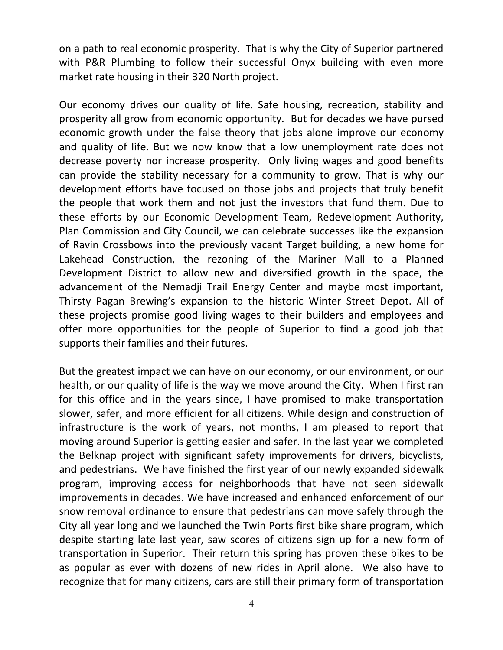on a path to real economic prosperity. That is why the City of Superior partnered with P&R Plumbing to follow their successful Onyx building with even more market rate housing in their 320 North project.

Our economy drives our quality of life. Safe housing, recreation, stability and prosperity all grow from economic opportunity. But for decades we have pursed economic growth under the false theory that jobs alone improve our economy and quality of life. But we now know that a low unemployment rate does not decrease poverty nor increase prosperity. Only living wages and good benefits can provide the stability necessary for a community to grow. That is why our development efforts have focused on those jobs and projects that truly benefit the people that work them and not just the investors that fund them. Due to these efforts by our Economic Development Team, Redevelopment Authority, Plan Commission and City Council, we can celebrate successes like the expansion of Ravin Crossbows into the previously vacant Target building, a new home for Lakehead Construction, the rezoning of the Mariner Mall to a Planned Development District to allow new and diversified growth in the space, the advancement of the Nemadji Trail Energy Center and maybe most important, Thirsty Pagan Brewing's expansion to the historic Winter Street Depot. All of these projects promise good living wages to their builders and employees and offer more opportunities for the people of Superior to find a good job that supports their families and their futures.

But the greatest impact we can have on our economy, or our environment, or our health, or our quality of life is the way we move around the City. When I first ran for this office and in the years since, I have promised to make transportation slower, safer, and more efficient for all citizens. While design and construction of infrastructure is the work of years, not months, I am pleased to report that moving around Superior is getting easier and safer. In the last year we completed the Belknap project with significant safety improvements for drivers, bicyclists, and pedestrians. We have finished the first year of our newly expanded sidewalk program, improving access for neighborhoods that have not seen sidewalk improvements in decades. We have increased and enhanced enforcement of our snow removal ordinance to ensure that pedestrians can move safely through the City all year long and we launched the Twin Ports first bike share program, which despite starting late last year, saw scores of citizens sign up for a new form of transportation in Superior. Their return this spring has proven these bikes to be as popular as ever with dozens of new rides in April alone. We also have to recognize that for many citizens, cars are still their primary form of transportation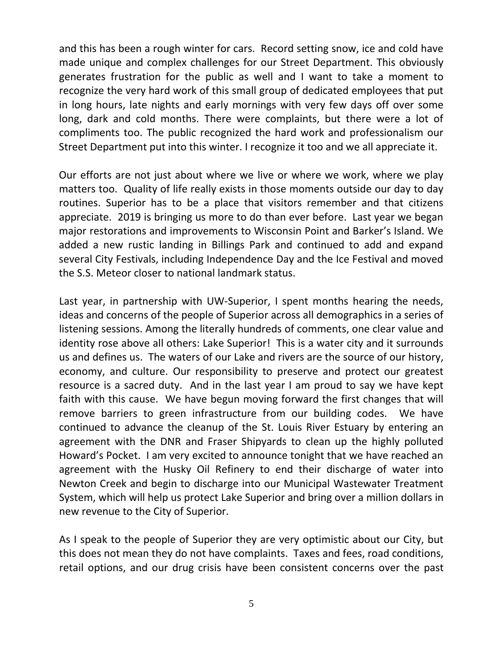and this has been a rough winter for cars. Record setting snow, ice and cold have made unique and complex challenges for our Street Department. This obviously generates frustration for the public as well and I want to take a moment to recognize the very hard work of this small group of dedicated employees that put in long hours, late nights and early mornings with very few days off over some long, dark and cold months. There were complaints, but there were a lot of compliments too. The public recognized the hard work and professionalism our Street Department put into this winter. I recognize it too and we all appreciate it.

Our efforts are not just about where we live or where we work, where we play matters too. Quality of life really exists in those moments outside our day to day routines. Superior has to be a place that visitors remember and that citizens appreciate. 2019 is bringing us more to do than ever before. Last year we began major restorations and improvements to Wisconsin Point and Barker's Island. We added a new rustic landing in Billings Park and continued to add and expand several City Festivals, including Independence Day and the Ice Festival and moved the S.S. Meteor closer to national landmark status.

Last year, in partnership with UW-Superior, I spent months hearing the needs, ideas and concerns of the people of Superior across all demographics in a series of listening sessions. Among the literally hundreds of comments, one clear value and identity rose above all others: Lake Superior! This is a water city and it surrounds us and defines us. The waters of our Lake and rivers are the source of our history, economy, and culture. Our responsibility to preserve and protect our greatest resource is a sacred duty. And in the last year I am proud to say we have kept faith with this cause. We have begun moving forward the first changes that will remove barriers to green infrastructure from our building codes. We have continued to advance the cleanup of the St. Louis River Estuary by entering an agreement with the DNR and Fraser Shipyards to clean up the highly polluted Howard's Pocket. I am very excited to announce tonight that we have reached an agreement with the Husky Oil Refinery to end their discharge of water into Newton Creek and begin to discharge into our Municipal Wastewater Treatment System, which will help us protect Lake Superior and bring over a million dollars in new revenue to the City of Superior.

As I speak to the people of Superior they are very optimistic about our City, but this does not mean they do not have complaints. Taxes and fees, road conditions, retail options, and our drug crisis have been consistent concerns over the past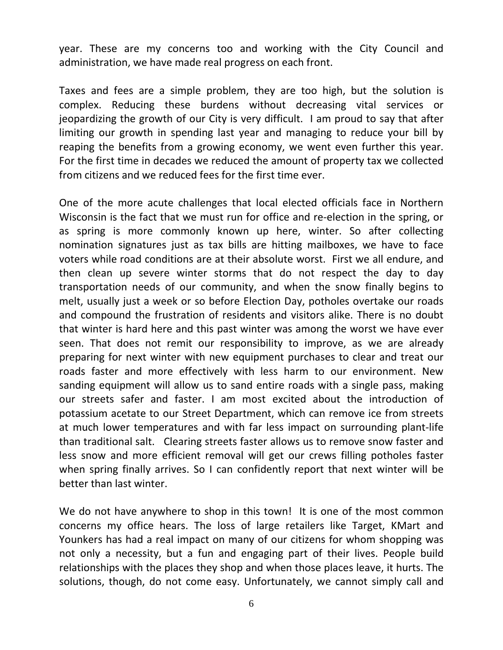year. These are my concerns too and working with the City Council and administration, we have made real progress on each front.

Taxes and fees are a simple problem, they are too high, but the solution is complex. Reducing these burdens without decreasing vital services or jeopardizing the growth of our City is very difficult. I am proud to say that after limiting our growth in spending last year and managing to reduce your bill by reaping the benefits from a growing economy, we went even further this year. For the first time in decades we reduced the amount of property tax we collected from citizens and we reduced fees for the first time ever.

One of the more acute challenges that local elected officials face in Northern Wisconsin is the fact that we must run for office and re-election in the spring, or as spring is more commonly known up here, winter. So after collecting nomination signatures just as tax bills are hitting mailboxes, we have to face voters while road conditions are at their absolute worst. First we all endure, and then clean up severe winter storms that do not respect the day to day transportation needs of our community, and when the snow finally begins to melt, usually just a week or so before Election Day, potholes overtake our roads and compound the frustration of residents and visitors alike. There is no doubt that winter is hard here and this past winter was among the worst we have ever seen. That does not remit our responsibility to improve, as we are already preparing for next winter with new equipment purchases to clear and treat our roads faster and more effectively with less harm to our environment. New sanding equipment will allow us to sand entire roads with a single pass, making our streets safer and faster. I am most excited about the introduction of potassium acetate to our Street Department, which can remove ice from streets at much lower temperatures and with far less impact on surrounding plant-life than traditional salt. Clearing streets faster allows us to remove snow faster and less snow and more efficient removal will get our crews filling potholes faster when spring finally arrives. So I can confidently report that next winter will be better than last winter.

We do not have anywhere to shop in this town! It is one of the most common concerns my office hears. The loss of large retailers like Target, KMart and Younkers has had a real impact on many of our citizens for whom shopping was not only a necessity, but a fun and engaging part of their lives. People build relationships with the places they shop and when those places leave, it hurts. The solutions, though, do not come easy. Unfortunately, we cannot simply call and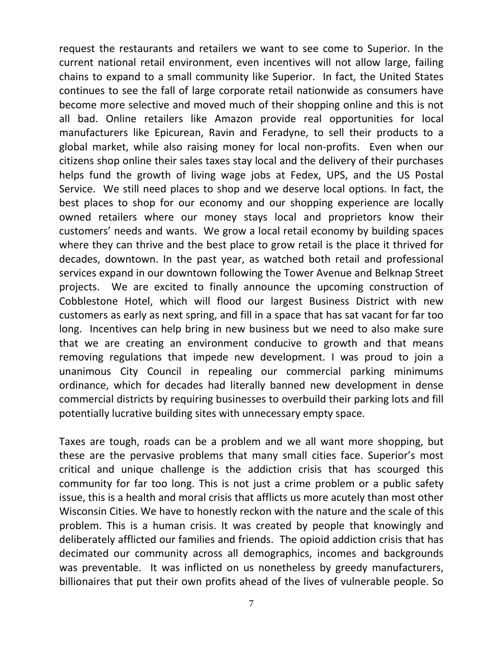request the restaurants and retailers we want to see come to Superior. In the current national retail environment, even incentives will not allow large, failing chains to expand to a small community like Superior. In fact, the United States continues to see the fall of large corporate retail nationwide as consumers have become more selective and moved much of their shopping online and this is not all bad. Online retailers like Amazon provide real opportunities for local manufacturers like Epicurean, Ravin and Feradyne, to sell their products to a global market, while also raising money for local non-profits. Even when our citizens shop online their sales taxes stay local and the delivery of their purchases helps fund the growth of living wage jobs at Fedex, UPS, and the US Postal Service. We still need places to shop and we deserve local options. In fact, the best places to shop for our economy and our shopping experience are locally owned retailers where our money stays local and proprietors know their customers' needs and wants. We grow a local retail economy by building spaces where they can thrive and the best place to grow retail is the place it thrived for decades, downtown. In the past year, as watched both retail and professional services expand in our downtown following the Tower Avenue and Belknap Street projects. We are excited to finally announce the upcoming construction of Cobblestone Hotel, which will flood our largest Business District with new customers as early as next spring, and fill in a space that has sat vacant for far too long. Incentives can help bring in new business but we need to also make sure that we are creating an environment conducive to growth and that means removing regulations that impede new development. I was proud to join a unanimous City Council in repealing our commercial parking minimums ordinance, which for decades had literally banned new development in dense commercial districts by requiring businesses to overbuild their parking lots and fill potentially lucrative building sites with unnecessary empty space.

Taxes are tough, roads can be a problem and we all want more shopping, but these are the pervasive problems that many small cities face. Superior's most critical and unique challenge is the addiction crisis that has scourged this community for far too long. This is not just a crime problem or a public safety issue, this is a health and moral crisis that afflicts us more acutely than most other Wisconsin Cities. We have to honestly reckon with the nature and the scale of this problem. This is a human crisis. It was created by people that knowingly and deliberately afflicted our families and friends. The opioid addiction crisis that has decimated our community across all demographics, incomes and backgrounds was preventable. It was inflicted on us nonetheless by greedy manufacturers, billionaires that put their own profits ahead of the lives of vulnerable people. So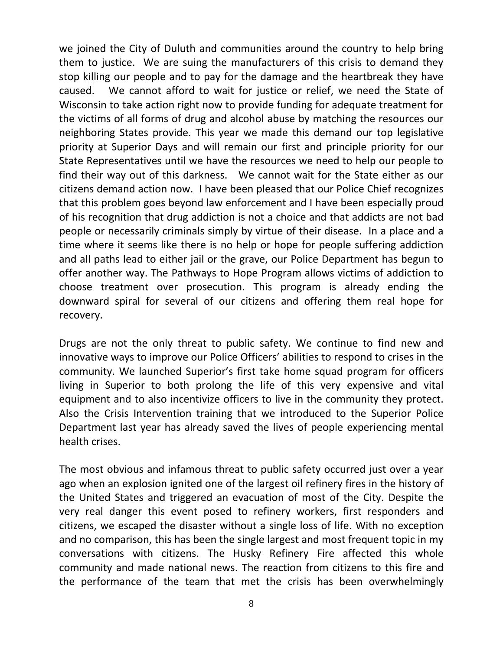we joined the City of Duluth and communities around the country to help bring them to justice. We are suing the manufacturers of this crisis to demand they stop killing our people and to pay for the damage and the heartbreak they have caused. We cannot afford to wait for justice or relief, we need the State of Wisconsin to take action right now to provide funding for adequate treatment for the victims of all forms of drug and alcohol abuse by matching the resources our neighboring States provide. This year we made this demand our top legislative priority at Superior Days and will remain our first and principle priority for our State Representatives until we have the resources we need to help our people to find their way out of this darkness. We cannot wait for the State either as our citizens demand action now. I have been pleased that our Police Chief recognizes that this problem goes beyond law enforcement and I have been especially proud of his recognition that drug addiction is not a choice and that addicts are not bad people or necessarily criminals simply by virtue of their disease. In a place and a time where it seems like there is no help or hope for people suffering addiction and all paths lead to either jail or the grave, our Police Department has begun to offer another way. The Pathways to Hope Program allows victims of addiction to choose treatment over prosecution. This program is already ending the downward spiral for several of our citizens and offering them real hope for recovery.

Drugs are not the only threat to public safety. We continue to find new and innovative ways to improve our Police Officers' abilities to respond to crises in the community. We launched Superior's first take home squad program for officers living in Superior to both prolong the life of this very expensive and vital equipment and to also incentivize officers to live in the community they protect. Also the Crisis Intervention training that we introduced to the Superior Police Department last year has already saved the lives of people experiencing mental health crises.

The most obvious and infamous threat to public safety occurred just over a year ago when an explosion ignited one of the largest oil refinery fires in the history of the United States and triggered an evacuation of most of the City. Despite the very real danger this event posed to refinery workers, first responders and citizens, we escaped the disaster without a single loss of life. With no exception and no comparison, this has been the single largest and most frequent topic in my conversations with citizens. The Husky Refinery Fire affected this whole community and made national news. The reaction from citizens to this fire and the performance of the team that met the crisis has been overwhelmingly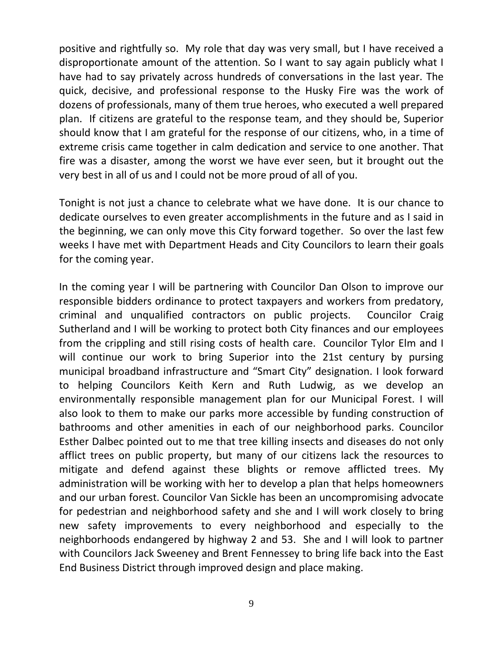positive and rightfully so. My role that day was very small, but I have received a disproportionate amount of the attention. So I want to say again publicly what I have had to say privately across hundreds of conversations in the last year. The quick, decisive, and professional response to the Husky Fire was the work of dozens of professionals, many of them true heroes, who executed a well prepared plan. If citizens are grateful to the response team, and they should be, Superior should know that I am grateful for the response of our citizens, who, in a time of extreme crisis came together in calm dedication and service to one another. That fire was a disaster, among the worst we have ever seen, but it brought out the very best in all of us and I could not be more proud of all of you.

Tonight is not just a chance to celebrate what we have done. It is our chance to dedicate ourselves to even greater accomplishments in the future and as I said in the beginning, we can only move this City forward together. So over the last few weeks I have met with Department Heads and City Councilors to learn their goals for the coming year.

In the coming year I will be partnering with Councilor Dan Olson to improve our responsible bidders ordinance to protect taxpayers and workers from predatory, criminal and unqualified contractors on public projects. Councilor Craig Sutherland and I will be working to protect both City finances and our employees from the crippling and still rising costs of health care. Councilor Tylor Elm and I will continue our work to bring Superior into the 21st century by pursing municipal broadband infrastructure and "Smart City" designation. I look forward to helping Councilors Keith Kern and Ruth Ludwig, as we develop an environmentally responsible management plan for our Municipal Forest. I will also look to them to make our parks more accessible by funding construction of bathrooms and other amenities in each of our neighborhood parks. Councilor Esther Dalbec pointed out to me that tree killing insects and diseases do not only afflict trees on public property, but many of our citizens lack the resources to mitigate and defend against these blights or remove afflicted trees. My administration will be working with her to develop a plan that helps homeowners and our urban forest. Councilor Van Sickle has been an uncompromising advocate for pedestrian and neighborhood safety and she and I will work closely to bring new safety improvements to every neighborhood and especially to the neighborhoods endangered by highway 2 and 53. She and I will look to partner with Councilors Jack Sweeney and Brent Fennessey to bring life back into the East End Business District through improved design and place making.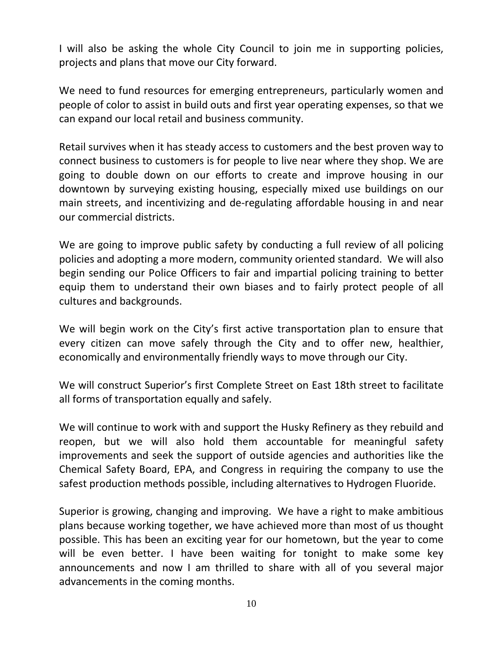I will also be asking the whole City Council to join me in supporting policies, projects and plans that move our City forward.

We need to fund resources for emerging entrepreneurs, particularly women and people of color to assist in build outs and first year operating expenses, so that we can expand our local retail and business community.

Retail survives when it has steady access to customers and the best proven way to connect business to customers is for people to live near where they shop. We are going to double down on our efforts to create and improve housing in our downtown by surveying existing housing, especially mixed use buildings on our main streets, and incentivizing and de-regulating affordable housing in and near our commercial districts.

We are going to improve public safety by conducting a full review of all policing policies and adopting a more modern, community oriented standard. We will also begin sending our Police Officers to fair and impartial policing training to better equip them to understand their own biases and to fairly protect people of all cultures and backgrounds.

We will begin work on the City's first active transportation plan to ensure that every citizen can move safely through the City and to offer new, healthier, economically and environmentally friendly ways to move through our City.

We will construct Superior's first Complete Street on East 18th street to facilitate all forms of transportation equally and safely.

We will continue to work with and support the Husky Refinery as they rebuild and reopen, but we will also hold them accountable for meaningful safety improvements and seek the support of outside agencies and authorities like the Chemical Safety Board, EPA, and Congress in requiring the company to use the safest production methods possible, including alternatives to Hydrogen Fluoride.

Superior is growing, changing and improving. We have a right to make ambitious plans because working together, we have achieved more than most of us thought possible. This has been an exciting year for our hometown, but the year to come will be even better. I have been waiting for tonight to make some key announcements and now I am thrilled to share with all of you several major advancements in the coming months.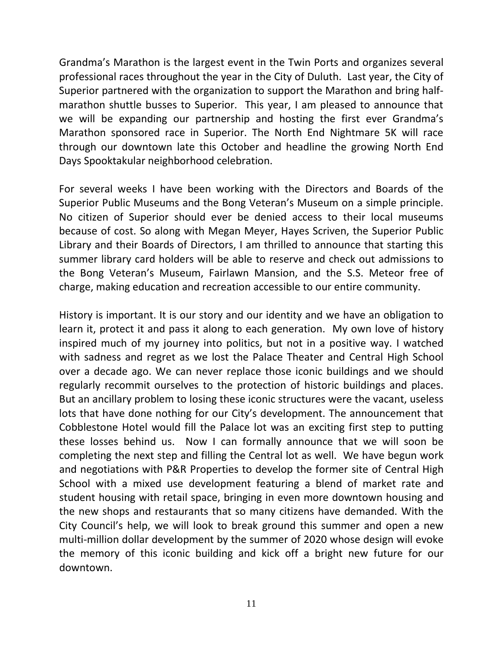Grandma's Marathon is the largest event in the Twin Ports and organizes several professional races throughout the year in the City of Duluth. Last year, the City of Superior partnered with the organization to support the Marathon and bring halfmarathon shuttle busses to Superior. This year, I am pleased to announce that we will be expanding our partnership and hosting the first ever Grandma's Marathon sponsored race in Superior. The North End Nightmare 5K will race through our downtown late this October and headline the growing North End Days Spooktakular neighborhood celebration.

For several weeks I have been working with the Directors and Boards of the Superior Public Museums and the Bong Veteran's Museum on a simple principle. No citizen of Superior should ever be denied access to their local museums because of cost. So along with Megan Meyer, Hayes Scriven, the Superior Public Library and their Boards of Directors, I am thrilled to announce that starting this summer library card holders will be able to reserve and check out admissions to the Bong Veteran's Museum, Fairlawn Mansion, and the S.S. Meteor free of charge, making education and recreation accessible to our entire community.

History is important. It is our story and our identity and we have an obligation to learn it, protect it and pass it along to each generation. My own love of history inspired much of my journey into politics, but not in a positive way. I watched with sadness and regret as we lost the Palace Theater and Central High School over a decade ago. We can never replace those iconic buildings and we should regularly recommit ourselves to the protection of historic buildings and places. But an ancillary problem to losing these iconic structures were the vacant, useless lots that have done nothing for our City's development. The announcement that Cobblestone Hotel would fill the Palace lot was an exciting first step to putting these losses behind us. Now I can formally announce that we will soon be completing the next step and filling the Central lot as well. We have begun work and negotiations with P&R Properties to develop the former site of Central High School with a mixed use development featuring a blend of market rate and student housing with retail space, bringing in even more downtown housing and the new shops and restaurants that so many citizens have demanded. With the City Council's help, we will look to break ground this summer and open a new multi-million dollar development by the summer of 2020 whose design will evoke the memory of this iconic building and kick off a bright new future for our downtown.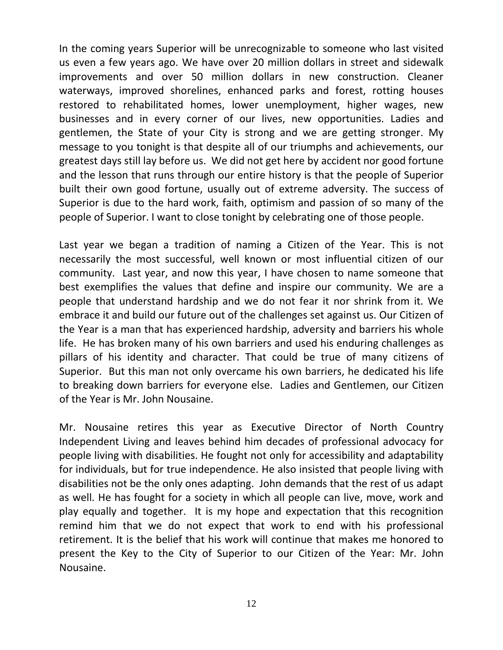In the coming years Superior will be unrecognizable to someone who last visited us even a few years ago. We have over 20 million dollars in street and sidewalk improvements and over 50 million dollars in new construction. Cleaner waterways, improved shorelines, enhanced parks and forest, rotting houses restored to rehabilitated homes, lower unemployment, higher wages, new businesses and in every corner of our lives, new opportunities. Ladies and gentlemen, the State of your City is strong and we are getting stronger. My message to you tonight is that despite all of our triumphs and achievements, our greatest days still lay before us. We did not get here by accident nor good fortune and the lesson that runs through our entire history is that the people of Superior built their own good fortune, usually out of extreme adversity. The success of Superior is due to the hard work, faith, optimism and passion of so many of the people of Superior. I want to close tonight by celebrating one of those people.

Last year we began a tradition of naming a Citizen of the Year. This is not necessarily the most successful, well known or most influential citizen of our community. Last year, and now this year, I have chosen to name someone that best exemplifies the values that define and inspire our community. We are a people that understand hardship and we do not fear it nor shrink from it. We embrace it and build our future out of the challenges set against us. Our Citizen of the Year is a man that has experienced hardship, adversity and barriers his whole life. He has broken many of his own barriers and used his enduring challenges as pillars of his identity and character. That could be true of many citizens of Superior. But this man not only overcame his own barriers, he dedicated his life to breaking down barriers for everyone else. Ladies and Gentlemen, our Citizen of the Year is Mr. John Nousaine.

Mr. Nousaine retires this year as Executive Director of North Country Independent Living and leaves behind him decades of professional advocacy for people living with disabilities. He fought not only for accessibility and adaptability for individuals, but for true independence. He also insisted that people living with disabilities not be the only ones adapting. John demands that the rest of us adapt as well. He has fought for a society in which all people can live, move, work and play equally and together. It is my hope and expectation that this recognition remind him that we do not expect that work to end with his professional retirement. It is the belief that his work will continue that makes me honored to present the Key to the City of Superior to our Citizen of the Year: Mr. John Nousaine.